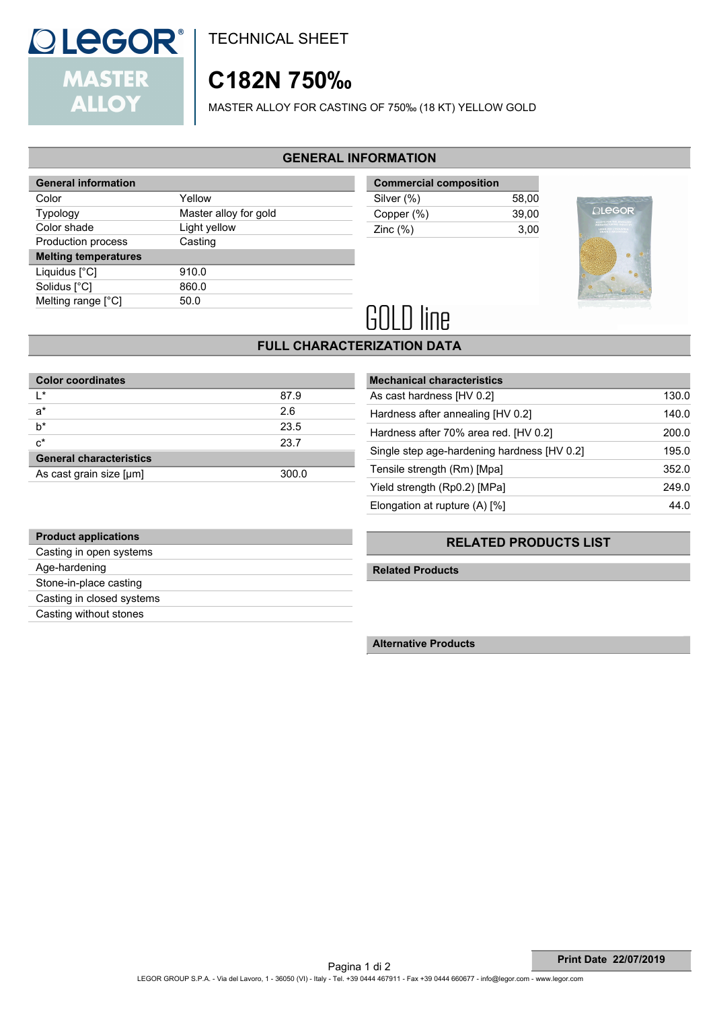# **MASTER ALLOY**

**Product applications** Casting in open systems

Age-hardening Stone-in-place casting Casting in closed systems Casting without stones

# **C182N 750‰**

MASTER ALLOY FOR CASTING OF 750‰ (18 KT) YELLOW GOLD

## **GENERAL INFORMATION**

| <b>General information</b>  |                       | <b>Commercial composition</b> |       |
|-----------------------------|-----------------------|-------------------------------|-------|
| Color                       | Yellow                | Silver (%)                    | 58,00 |
| Typology                    | Master alloy for gold | Copper (%)                    | 39,00 |
| Color shade                 | Light yellow          | Zinc $(\%)$                   | 3,00  |
| Production process          | Casting               |                               |       |
| <b>Melting temperatures</b> |                       |                               |       |
| Liquidus [°C]               | 910.0                 |                               |       |
| Solidus [°C]                | 860.0                 |                               |       |
| Melting range [°C]          | 50.0                  |                               |       |
|                             |                       |                               |       |



### **FULL CHARACTERIZATION DATA**

| <b>Color coordinates</b>       |       |  |  |  |
|--------------------------------|-------|--|--|--|
| l *                            | 87.9  |  |  |  |
| $a^*$                          | 2.6   |  |  |  |
| h*                             | 23.5  |  |  |  |
| $c^*$                          | 23.7  |  |  |  |
| <b>General characteristics</b> |       |  |  |  |
| As cast grain size [µm]        | 300.0 |  |  |  |

| <b>Mechanical characteristics</b>           |       |
|---------------------------------------------|-------|
| As cast hardness [HV 0.2]                   | 130.0 |
| Hardness after annealing [HV 0.2]           | 140.0 |
| Hardness after 70% area red. [HV 0.2]       | 200.0 |
| Single step age-hardening hardness [HV 0.2] | 195.0 |
| Tensile strength (Rm) [Mpa]                 | 352.0 |
| Yield strength (Rp0.2) [MPa]                | 249.0 |
| Elongation at rupture $(A)$ [%]             | 44 O  |

### **RELATED PRODUCTS LIST**

 **Related Products**

 **Alternative Products**